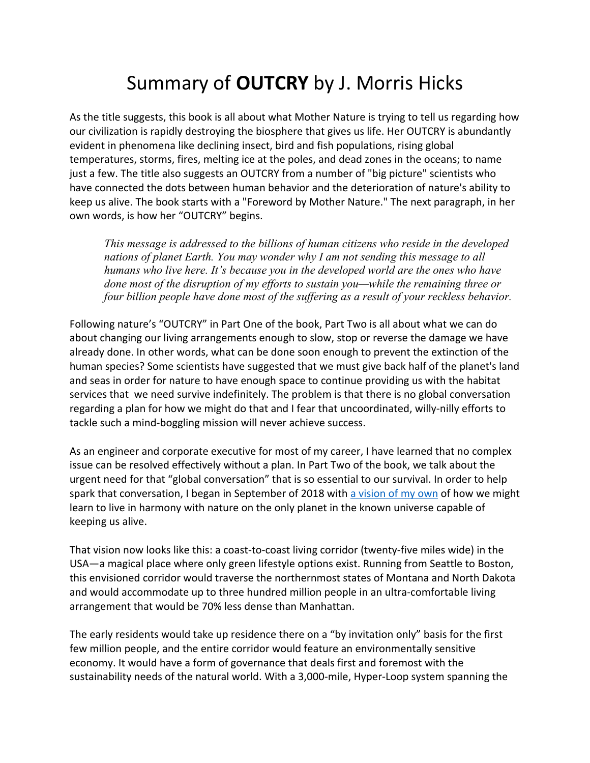## Summary of **OUTCRY** by J. Morris Hicks

As the title suggests, this book is all about what Mother Nature is trying to tell us regarding how our civilization is rapidly destroying the biosphere that gives us life. Her OUTCRY is abundantly evident in phenomena like declining insect, bird and fish populations, rising global temperatures, storms, fires, melting ice at the poles, and dead zones in the oceans; to name just a few. The title also suggests an OUTCRY from a number of "big picture" scientists who have connected the dots between human behavior and the deterioration of nature's ability to keep us alive. The book starts with a "Foreword by Mother Nature." The next paragraph, in her own words, is how her "OUTCRY" begins.

*This message is addressed to the billions of human citizens who reside in the developed nations of planet Earth. You may wonder why I am not sending this message to all humans who live here. It's because you in the developed world are the ones who have done most of the disruption of my efforts to sustain you—while the remaining three or four billion people have done most of the suffering as a result of your reckless behavior.* 

Following nature's "OUTCRY" in Part One of the book, Part Two is all about what we can do about changing our living arrangements enough to slow, stop or reverse the damage we have already done. In other words, what can be done soon enough to prevent the extinction of the human species? Some scientists have suggested that we must give back half of the planet's land and seas in order for nature to have enough space to continue providing us with the habitat services that we need survive indefinitely. The problem is that there is no global conversation regarding a plan for how we might do that and I fear that uncoordinated, willy-nilly efforts to tackle such a mind-boggling mission will never achieve success.

As an engineer and corporate executive for most of my career, I have learned that no complex issue can be resolved effectively without a plan. In Part Two of the book, we talk about the urgent need for that "global conversation" that is so essential to our survival. In order to help spark that conversation, I began in September of 2018 with a vision of my own of how we might learn to live in harmony with nature on the only planet in the known universe capable of keeping us alive.

That vision now looks like this: a coast-to-coast living corridor (twenty-five miles wide) in the USA—a magical place where only green lifestyle options exist. Running from Seattle to Boston, this envisioned corridor would traverse the northernmost states of Montana and North Dakota and would accommodate up to three hundred million people in an ultra-comfortable living arrangement that would be 70% less dense than Manhattan.

The early residents would take up residence there on a "by invitation only" basis for the first few million people, and the entire corridor would feature an environmentally sensitive economy. It would have a form of governance that deals first and foremost with the sustainability needs of the natural world. With a 3,000-mile, Hyper-Loop system spanning the